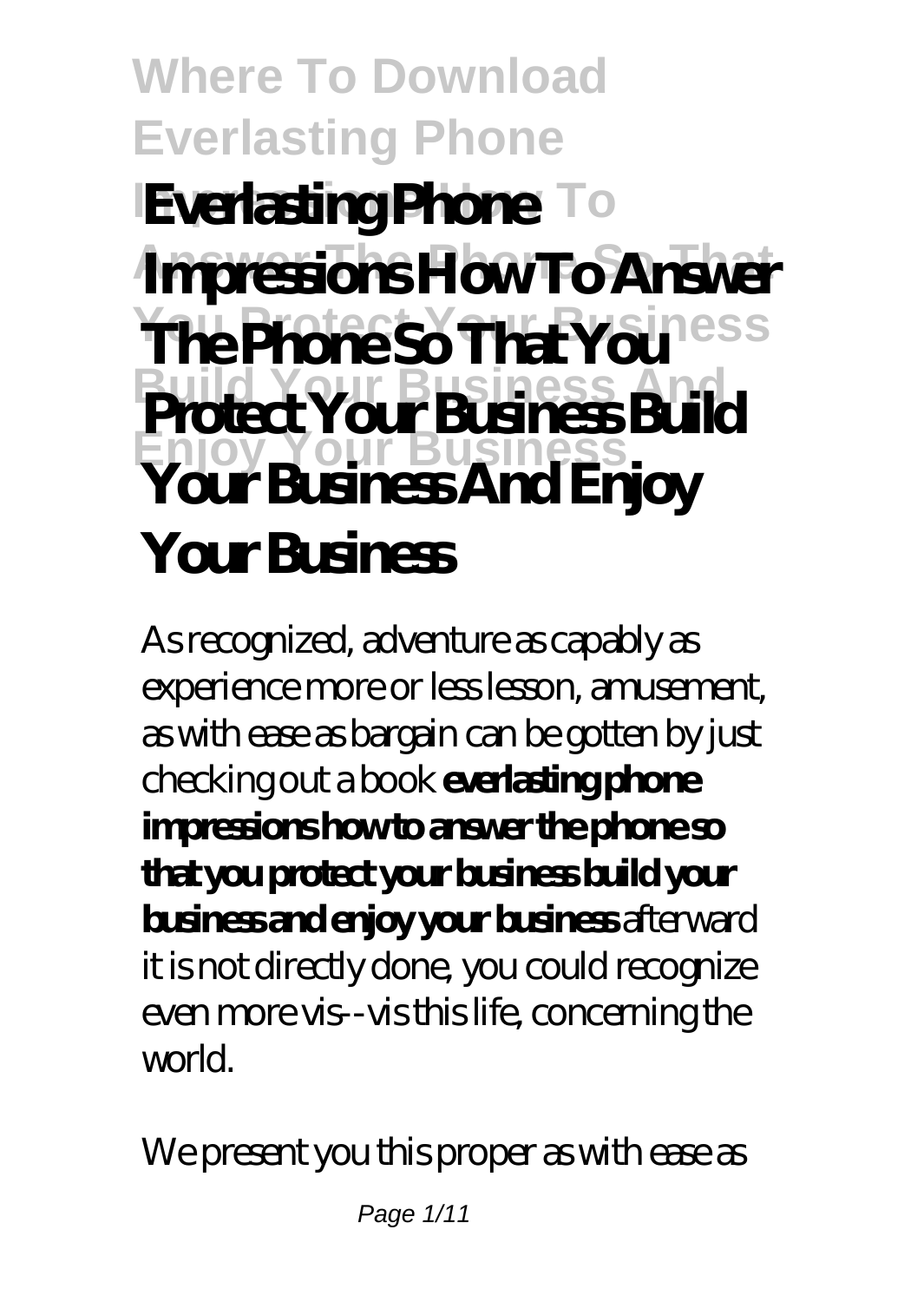### **Where To Download Everlasting Phone Everlasting Phone** To **Impressions How To Answer The Phone So That You** less **Build Your Business And Enjoy Your Business Protect Your Business Build Your Business And Enjoy Your Business**

As recognized, adventure as capably as experience more or less lesson, amusement, as with ease as bargain can be gotten by just checking out a book **everlasting phone impressions how to answer the phone so that you protect your business build your business and enjoy your business** afterward it is not directly done, you could recognize even more vis--vis this life, concerning the world.

We present you this proper as with ease as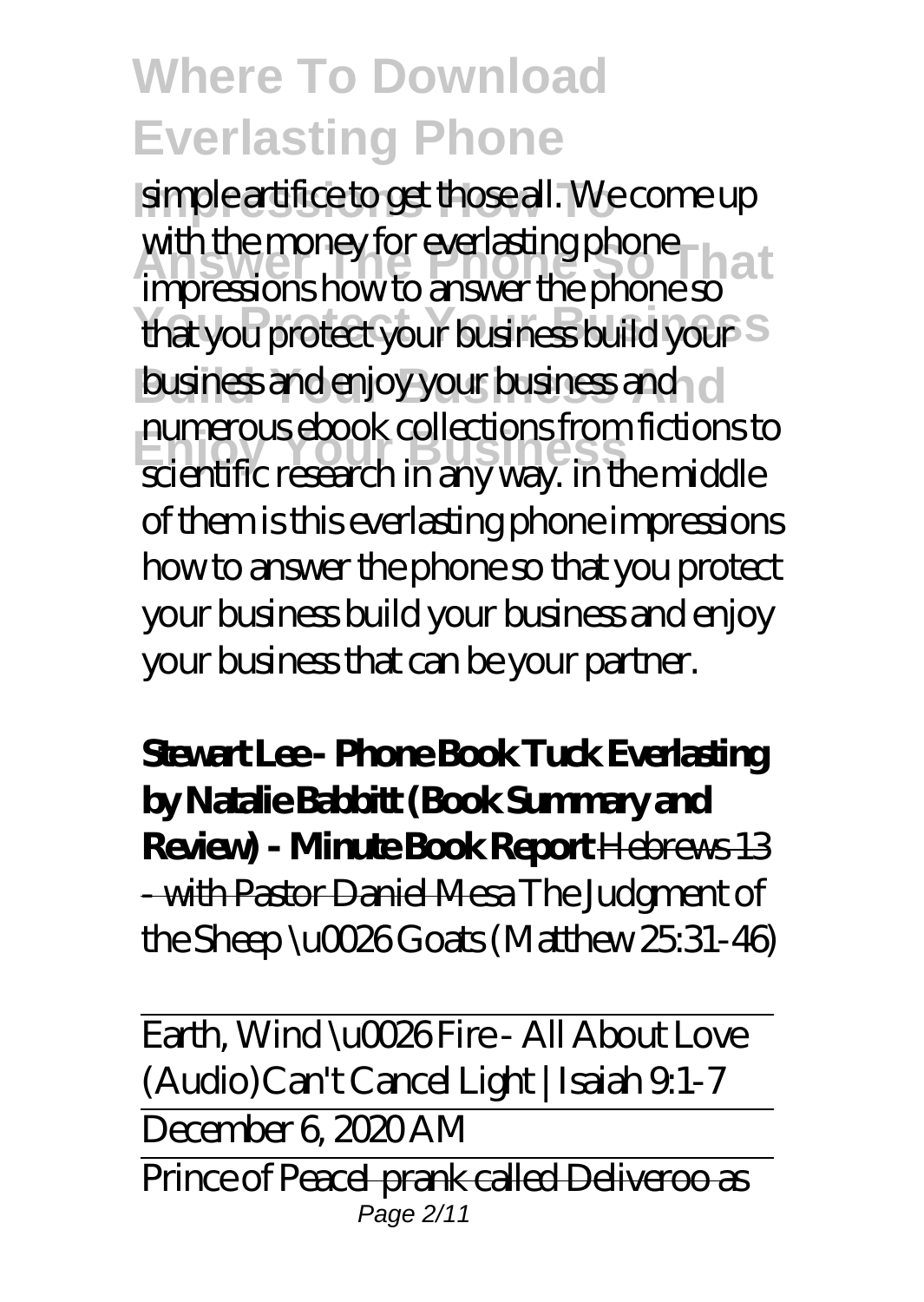simple artifice to get those all. We come up with the money for everlasting phone south the money for everlasting phone solutions. **You Protect Your Business** that you protect your business build your business and enjoy your business and el **Enjoy Your Business** scientific research in any way. in the middle impressions how to answer the phone so numerous ebook collections from fictions to of them is this everlasting phone impressions how to answer the phone so that you protect your business build your business and enjoy your business that can be your partner.

**Stewart Lee - Phone Book Tuck Everlasting by Natalie Babbitt (Book Summary and Review) - Minute Book Report** Hebrews 13 - with Pastor Daniel Mesa *The Judgment of the Sheep \u0026 Goats (Matthew 25:31-46)*

Earth, Wind \u0026 Fire - All About Love (Audio)*Can't Cancel Light | Isaiah 9:1-7* December 6, 2020 AM Prince of PeaceI prank called Deliveroo as Page 2/11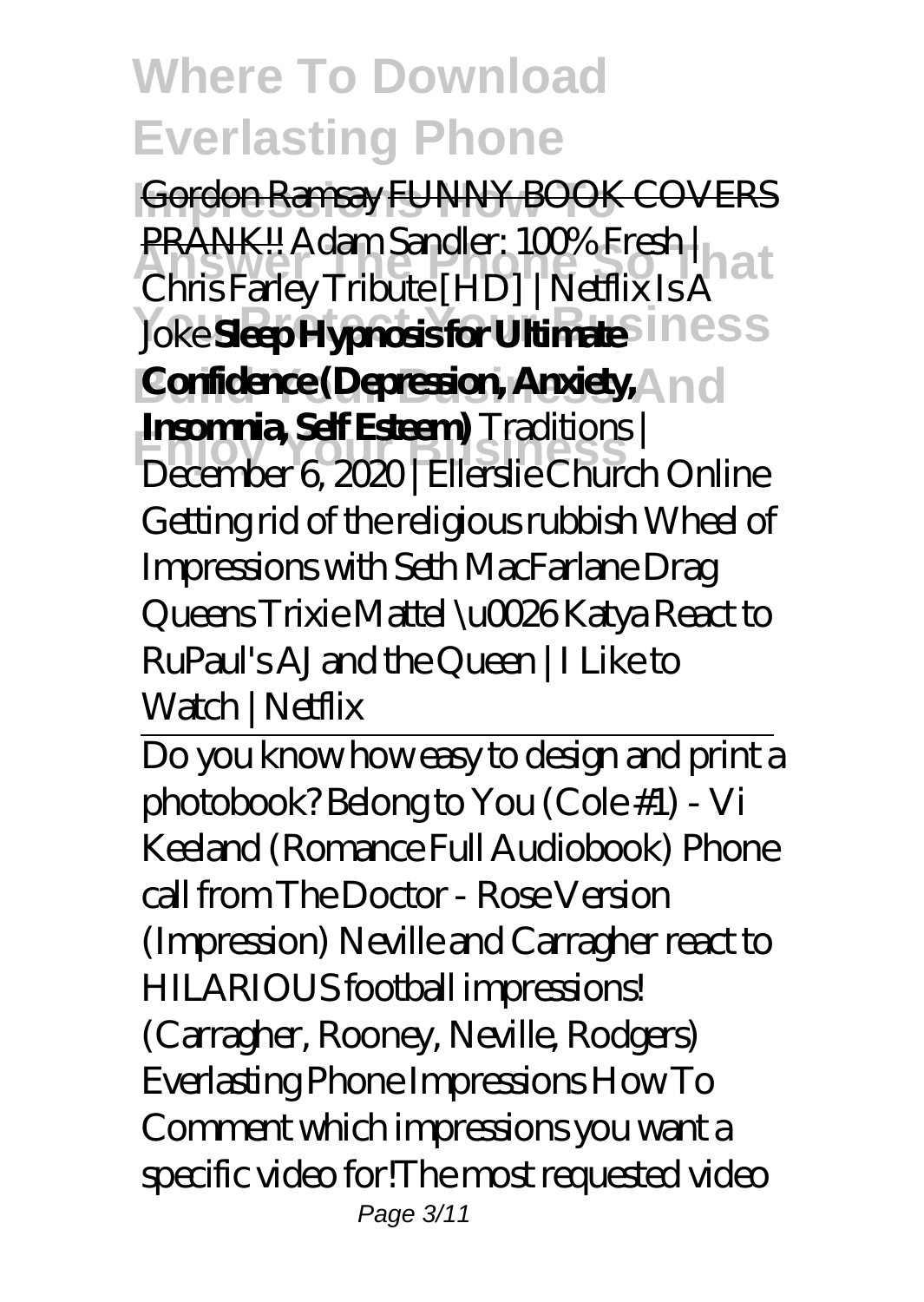**Impressions How To** Gordon Ramsay FUNNY BOOK COVERS **Answer The Phone So That** PRANK!! *Adam Sandler: 100% Fresh |*  $$ **Confidence (Depression, Anxiety, And Enjoy Your Business** *December 6, 2020 | Ellerslie Church Online Chris Farley Tribute [HD] | Netflix Is A* **Insomnia, Self Esteem)** *Traditions | Getting rid of the religious rubbish* Wheel of Impressions with Seth MacFarlane *Drag Queens Trixie Mattel \u0026 Katya React to RuPaul's AJ and the Queen | I Like to Watch | Netflix*

Do you know how easy to design and print a photobook? Belong to You (Cole #1) - Vi Keeland (Romance Full Audiobook) Phone call from The Doctor - Rose Version (Impression) *Neville and Carragher react to HILARIOUS football impressions! (Carragher, Rooney, Neville, Rodgers) Everlasting Phone Impressions How To* Comment which impressions you want a specific video for!The most requested video Page 3/11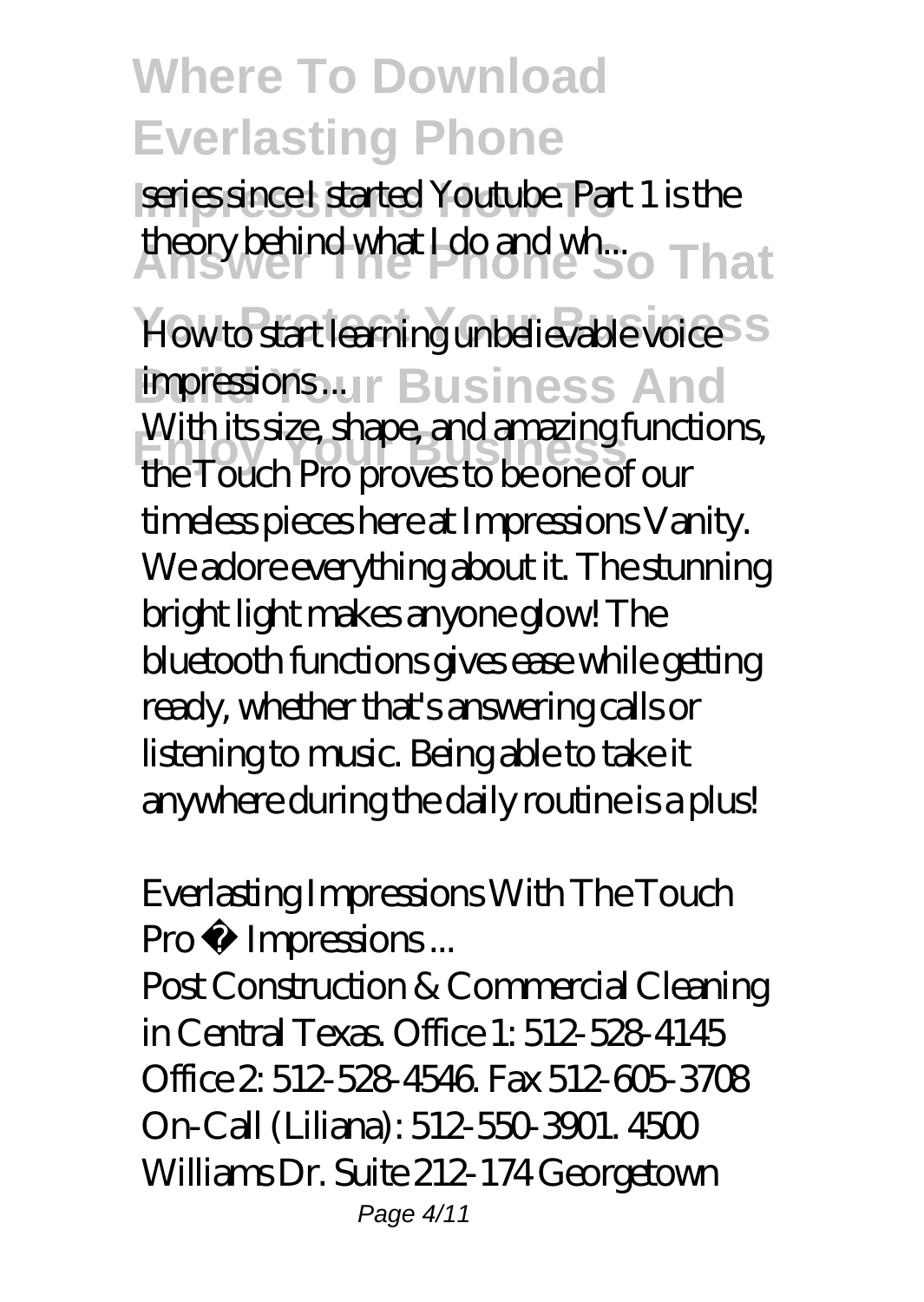**Series since I started Youtube. Part 1 is the** theory behind what I do and wh... That

*How to start learning unbelievable voice impressions...*...r Business And **Enjoy Your Business** the Touch Pro proves to be one of our With its size, shape, and amazing functions, timeless pieces here at Impressions Vanity. We adore everything about it. The stunning bright light makes anyone glow! The bluetooth functions gives ease while getting ready, whether that's answering calls or listening to music. Being able to take it anywhere during the daily routine is a plus!

#### *Everlasting Impressions With The Touch Pro • Impressions ...*

Post Construction & Commercial Cleaning in Central Texas. Office 1: 512-528-4145 Office 2: 512-528-4546. Fax 512-605-3708 On-Call (Liliana): 512-550-3901. 4500 Williams Dr. Suite 212-174 Georgetown Page 4/11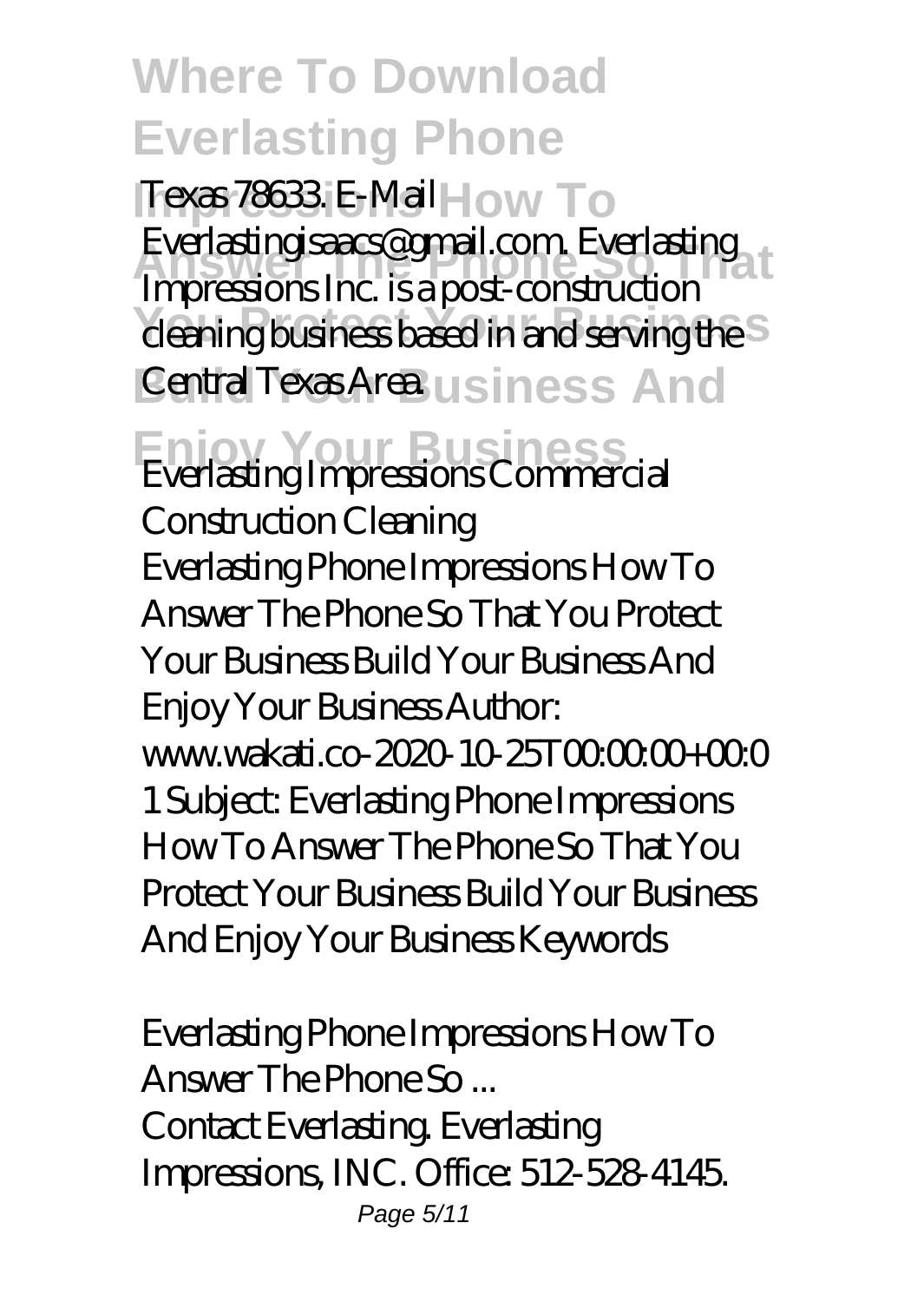Texas 78633 E-Mail How To **Answer The Phone So That** Everlastingisaacs@gmail.com. Everlasting <sup>1</sup> cleaning business based in and serving the S Central Texas Area. u siness And Impressions Inc. is a post-construction

#### **Enjoy Your Business** *Everlasting Impressions Commercial*

*Construction Cleaning* Everlasting Phone Impressions How To Answer The Phone So That You Protect Your Business Build Your Business And Enjoy Your Business Author: www.wakati.co-2020-10-25T000000+000 1 Subject: Everlasting Phone Impressions How To Answer The Phone So That You Protect Your Business Build Your Business And Enjoy Your Business Keywords

*Everlasting Phone Impressions How To Answer The Phone So ...* Contact Everlasting. Everlasting Impressions, INC. Office: 512-528-4145. Page 5/11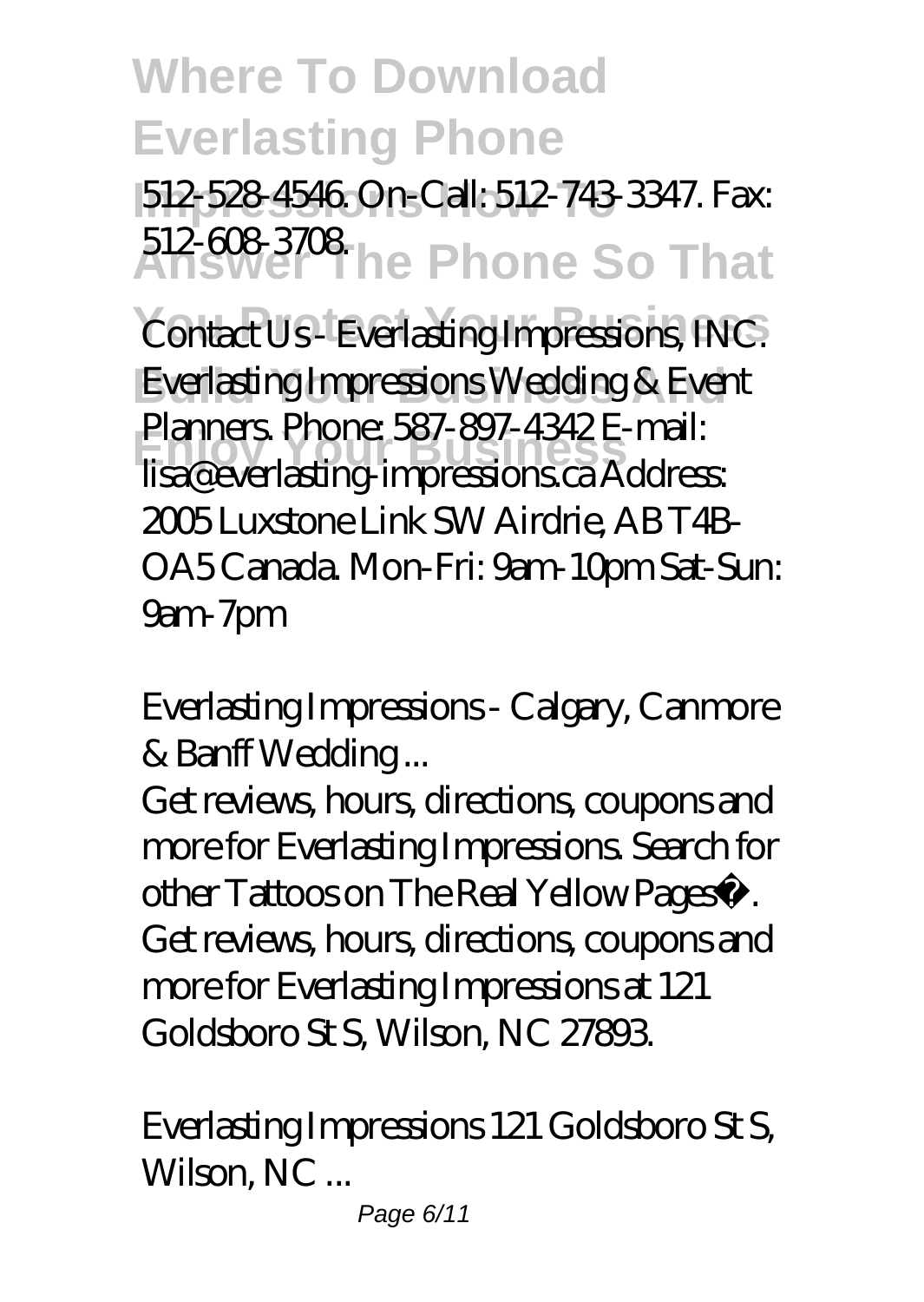**Impressions How To** 512-528-4546. On-Call: 512-743-3347. Fax: **Answer The Phone So That** 512-608-3708.

 $Contact Us$ - Everlasting Impressions, INC. **Everlasting Impressions Wedding & Event Enjoy Your Business** lisa@everlasting-impressions.ca Address: Planners. Phone: 587-897-4342 E-mail: 2005 Luxstone Link SW Airdrie, AB T4B-OA5 Canada. Mon-Fri: 9am-10pm Sat-Sun: 9am-7pm

#### *Everlasting Impressions - Calgary, Canmore & Banff Wedding ...*

Get reviews, hours, directions, coupons and more for Everlasting Impressions. Search for other Tattoos on The Real Yellow Pages®. Get reviews, hours, directions, coupons and more for Everlasting Impressions at 121 Goldsboro St S, Wilson, NC 27893.

#### *Everlasting Impressions 121 Goldsboro St S, Wilson, NC ...*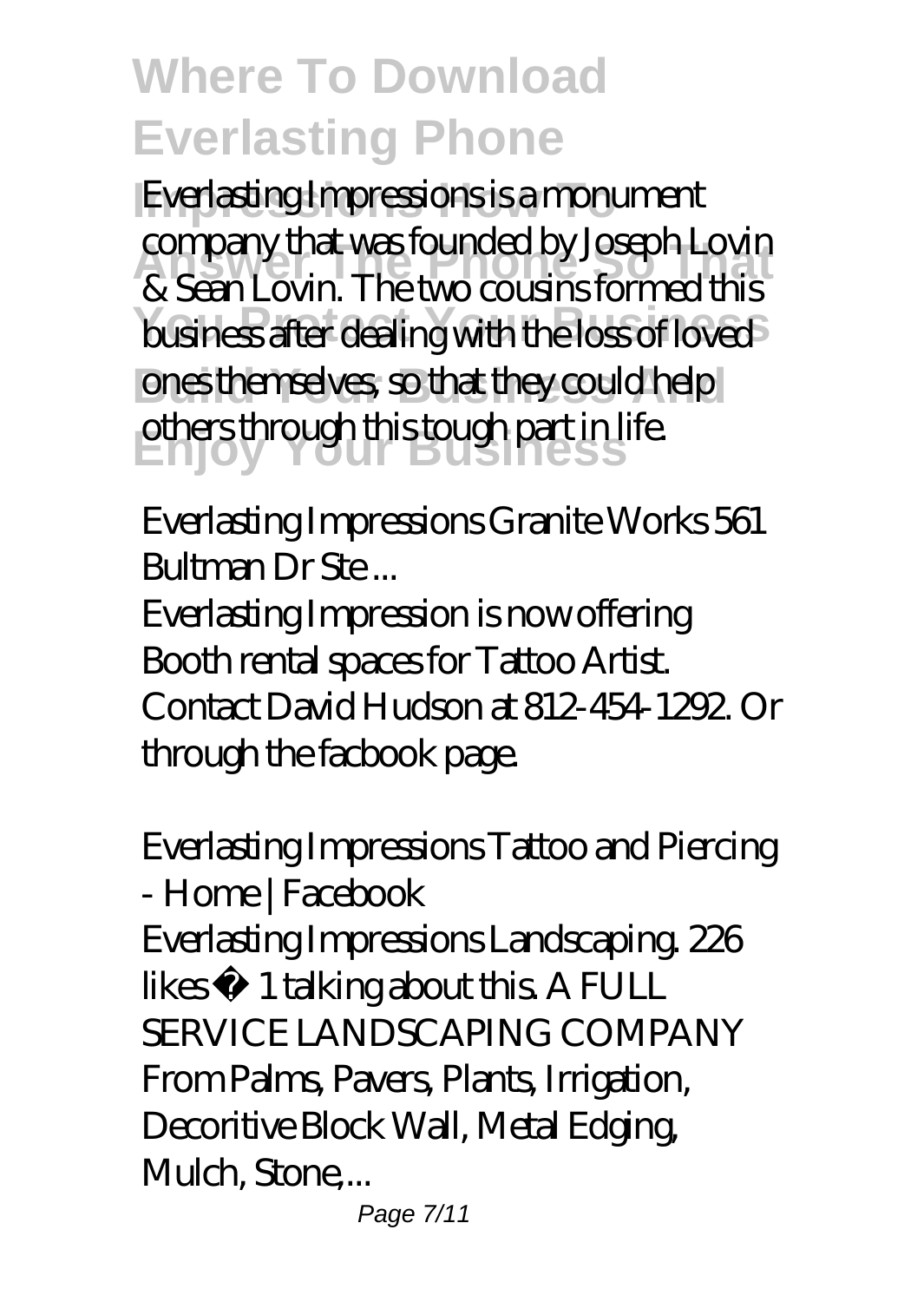Everlasting Impressions is a monument company that was founded by Joseph Lovin<br>Referred this business after dealing with the loss of loved ones themselves, so that they could help others through this tough part in life. & Sean Lovin. The two cousins formed this

#### *Everlasting Impressions Granite Works 561 Bultman Dr Ste ...*

Everlasting Impression is now offering Booth rental spaces for Tattoo Artist. Contact David Hudson at 812-454-1292. Or through the facbook page.

#### *Everlasting Impressions Tattoo and Piercing - Home | Facebook*

Everlasting Impressions Landscaping. 226 likes  $\cdot$  1 talking about this. A FULL SERVICE LANDSCAPING COMPANY From Palms, Pavers, Plants, Irrigation, Decoritive Block Wall, Metal Edging, Mulch, Stone...

Page 7/11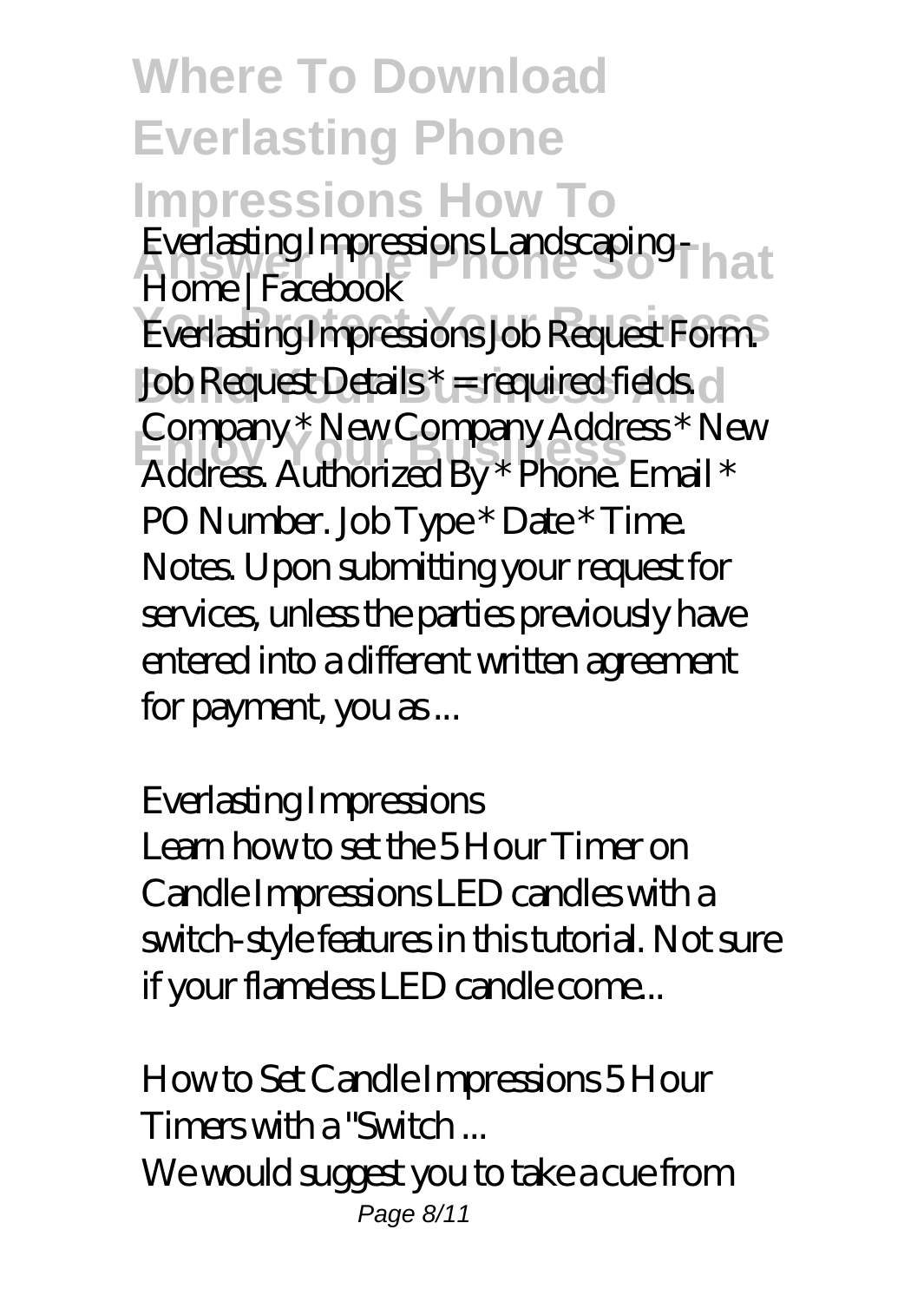### **Where To Download Everlasting Phone Impressions How To Answer The Phone So That** *Everlasting Impressions Landscaping -* Everlasting Impressions Job Request Form. Job Request Details \* = required fields. **Example Incompany Your Business**<br>Address. Authorized By \* Phone. Email \* *Home | Facebook* Company \* New Company Address \* New PO Number. Job Type \* Date \* Time. Notes. Upon submitting your request for services, unless the parties previously have entered into a different written agreement for payment, you as ...

#### *Everlasting Impressions*

Learn how to set the 5 Hour Timer on Candle Impressions LED candles with a switch-style features in this tutorial. Not sure if your flameless LED candle come...

*How to Set Candle Impressions 5 Hour Timers with a "Switch ...* We would suggest you to take a cue from Page 8/11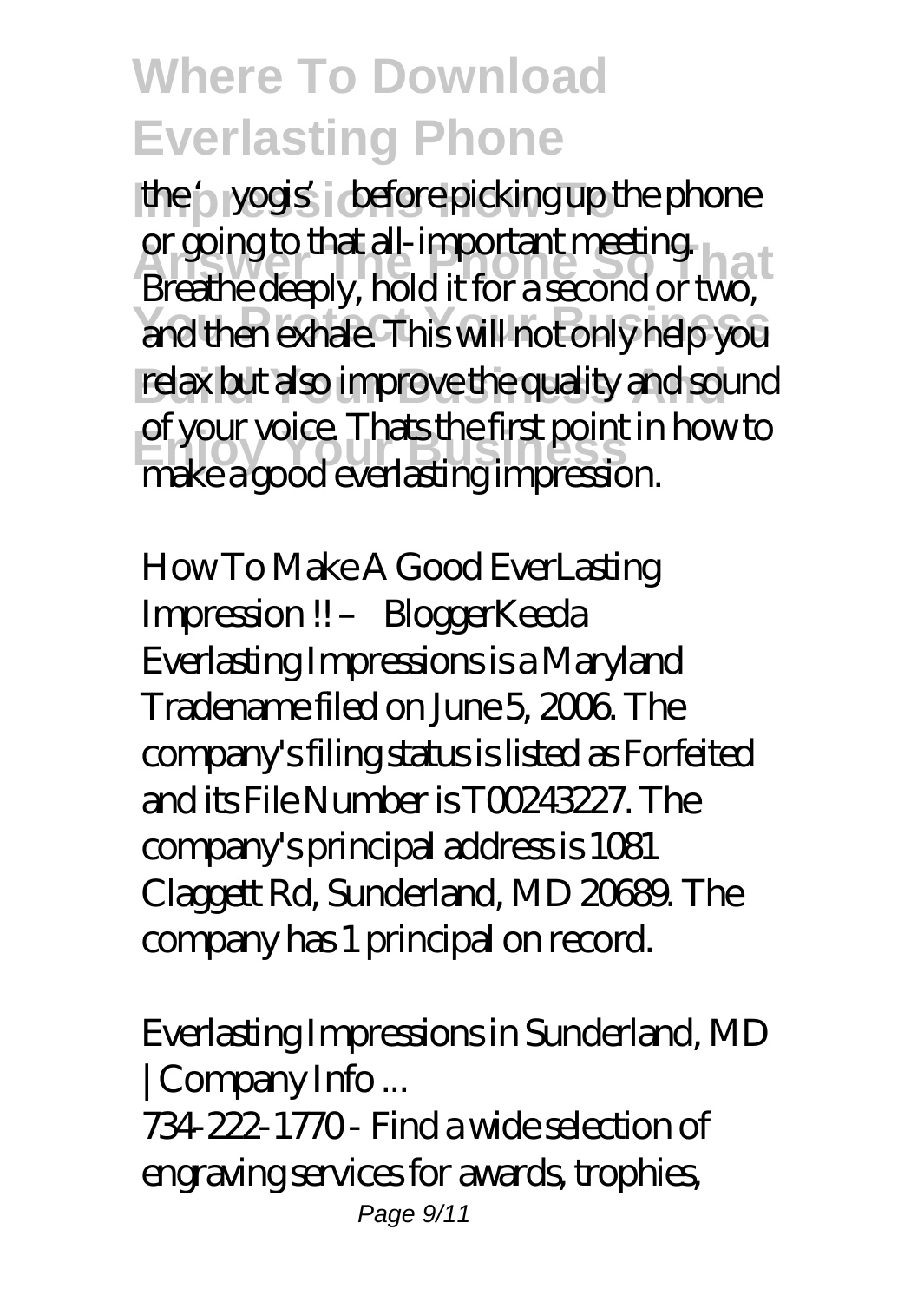the '<sub>2</sub> yogis' before picking up the phone or going to that all-important meeting.<br>Breethodeenly, hold it for a second or tup and then exhale. This will not only help you relax but also improve the quality and sound **Enjoy Your Business** make a good everlasting impression. Breathe deeply, hold it for a second or two, of your voice. Thats the first point in how to

*How To Make A Good EverLasting Impression !! – BloggerKeeda* Everlasting Impressions is a Maryland Tradename filed on June 5, 2006. The company's filing status is listed as Forfeited and its File Number is T00243227. The company's principal address is 1081 Claggett Rd, Sunderland, MD 20689. The company has 1 principal on record.

#### *Everlasting Impressions in Sunderland, MD | Company Info ...*

734-222-1770 - Find a wide selection of engraving services for awards, trophies, Page 9/11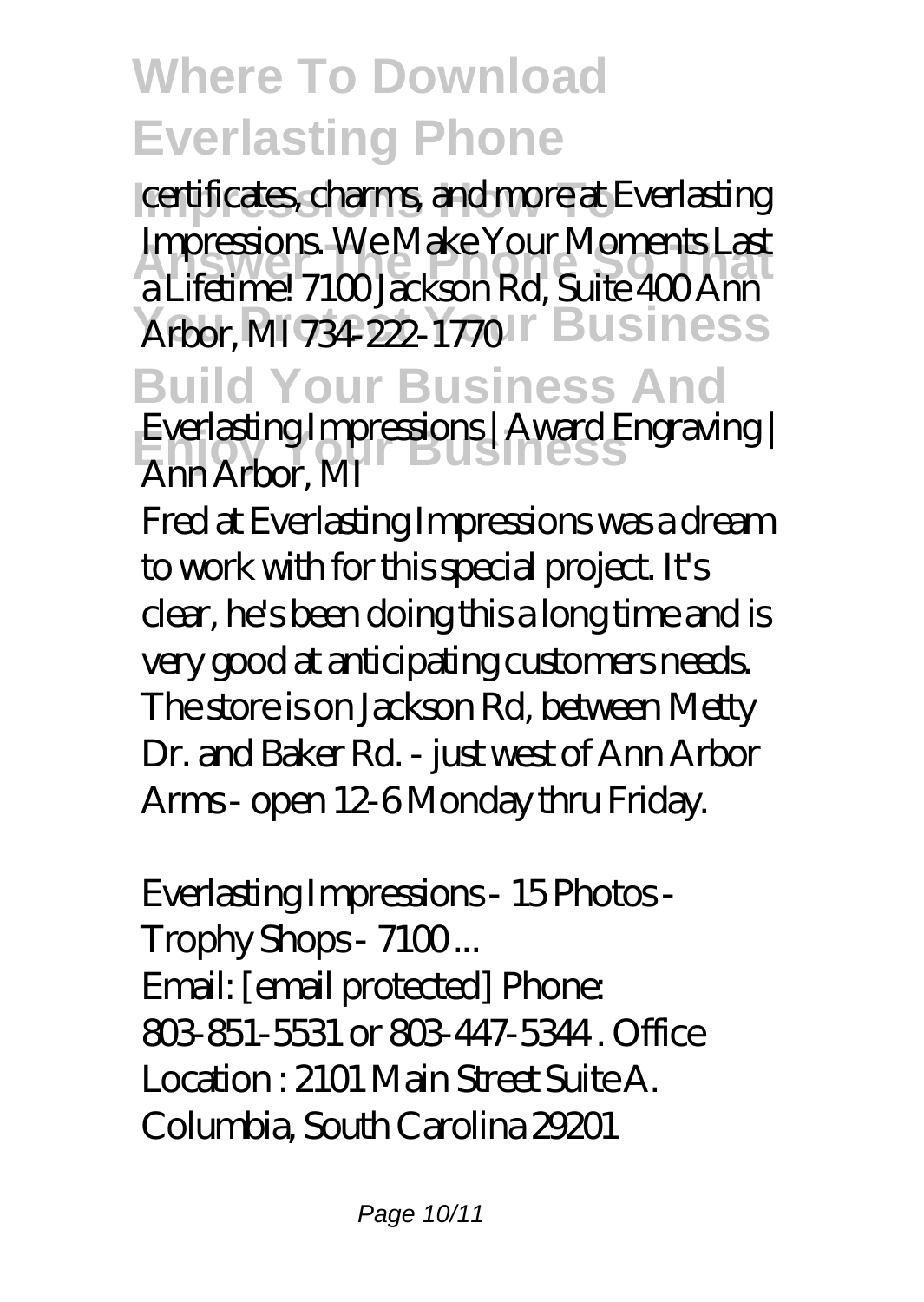**Impressions How To** certificates, charms, and more at Everlasting **Answer The Phone So That** a Lifetime! 7100 Jackson Rd, Suite 400 Ann Arbor, MI 734-222-1770 IT Business **Build Your Business And** *Everlasting Impressions | Award Engraving |*<br>*Arm Arbor MI* Impressions. We Make Your Moments Last *Ann Arbor, MI*

Fred at Everlasting Impressions was a dream to work with for this special project. It's clear, he's been doing this a long time and is very good at anticipating customers needs. The store is on Jackson Rd, between Metty Dr. and Baker Rd. - just west of Ann Arbor Arms - open 12-6 Monday thru Friday.

#### *Everlasting Impressions - 15 Photos - Trophy Shops - 7100 ...*

Email: [email protected] Phone: 803-851-5531 or 803-447-5344 . Office Location : 2101 Main Street Suite A. Columbia, South Carolina 29201